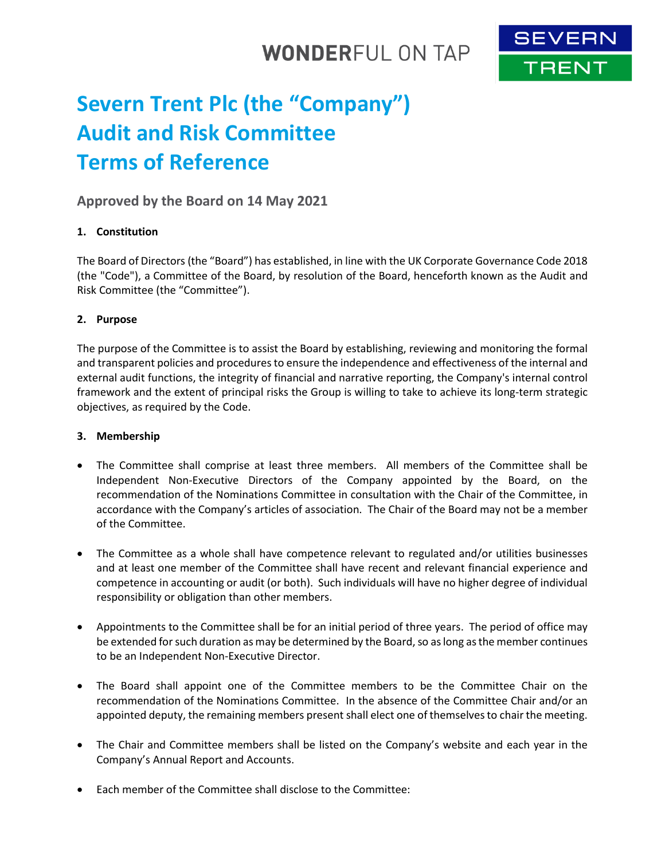## **WONDERFUL ON TAP**



# **Severn Trent Plc (the "Company") Audit and Risk Committee Terms of Reference**

## **Approved by the Board on 14 May 2021**

## **1. Constitution**

The Board of Directors (the "Board") has established, in line with the UK Corporate Governance Code 2018 (the "Code"), a Committee of the Board, by resolution of the Board, henceforth known as the Audit and Risk Committee (the "Committee").

## **2. Purpose**

The purpose of the Committee is to assist the Board by establishing, reviewing and monitoring the formal and transparent policies and procedures to ensure the independence and effectiveness of the internal and external audit functions, the integrity of financial and narrative reporting, the Company's internal control framework and the extent of principal risks the Group is willing to take to achieve its long-term strategic objectives, as required by the Code.

#### **3. Membership**

- The Committee shall comprise at least three members. All members of the Committee shall be Independent Non-Executive Directors of the Company appointed by the Board, on the recommendation of the Nominations Committee in consultation with the Chair of the Committee, in accordance with the Company's articles of association. The Chair of the Board may not be a member of the Committee.
- The Committee as a whole shall have competence relevant to regulated and/or utilities businesses and at least one member of the Committee shall have recent and relevant financial experience and competence in accounting or audit (or both). Such individuals will have no higher degree of individual responsibility or obligation than other members.
- Appointments to the Committee shall be for an initial period of three years. The period of office may be extended for such duration as may be determined by the Board, so as long as the member continues to be an Independent Non-Executive Director.
- The Board shall appoint one of the Committee members to be the Committee Chair on the recommendation of the Nominations Committee. In the absence of the Committee Chair and/or an appointed deputy, the remaining members present shall elect one of themselves to chair the meeting.
- The Chair and Committee members shall be listed on the Company's website and each year in the Company's Annual Report and Accounts.
- Each member of the Committee shall disclose to the Committee: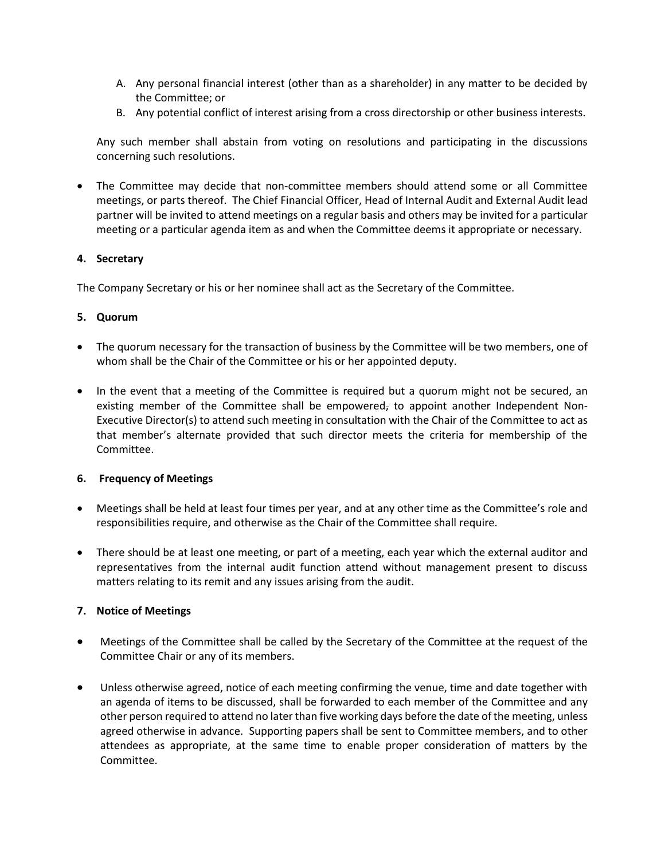- A. Any personal financial interest (other than as a shareholder) in any matter to be decided by the Committee; or
- B. Any potential conflict of interest arising from a cross directorship or other business interests.

Any such member shall abstain from voting on resolutions and participating in the discussions concerning such resolutions.

 The Committee may decide that non-committee members should attend some or all Committee meetings, or parts thereof. The Chief Financial Officer, Head of Internal Audit and External Audit lead partner will be invited to attend meetings on a regular basis and others may be invited for a particular meeting or a particular agenda item as and when the Committee deems it appropriate or necessary.

#### **4. Secretary**

The Company Secretary or his or her nominee shall act as the Secretary of the Committee.

#### **5. Quorum**

- The quorum necessary for the transaction of business by the Committee will be two members, one of whom shall be the Chair of the Committee or his or her appointed deputy.
- In the event that a meeting of the Committee is required but a quorum might not be secured, an existing member of the Committee shall be empowered, to appoint another Independent Non-Executive Director(s) to attend such meeting in consultation with the Chair of the Committee to act as that member's alternate provided that such director meets the criteria for membership of the Committee.

#### **6. Frequency of Meetings**

- Meetings shall be held at least four times per year, and at any other time as the Committee's role and responsibilities require, and otherwise as the Chair of the Committee shall require.
- There should be at least one meeting, or part of a meeting, each year which the external auditor and representatives from the internal audit function attend without management present to discuss matters relating to its remit and any issues arising from the audit.

## **7. Notice of Meetings**

- Meetings of the Committee shall be called by the Secretary of the Committee at the request of the Committee Chair or any of its members.
- Unless otherwise agreed, notice of each meeting confirming the venue, time and date together with an agenda of items to be discussed, shall be forwarded to each member of the Committee and any other person required to attend no later than five working days before the date of the meeting, unless agreed otherwise in advance. Supporting papers shall be sent to Committee members, and to other attendees as appropriate, at the same time to enable proper consideration of matters by the Committee.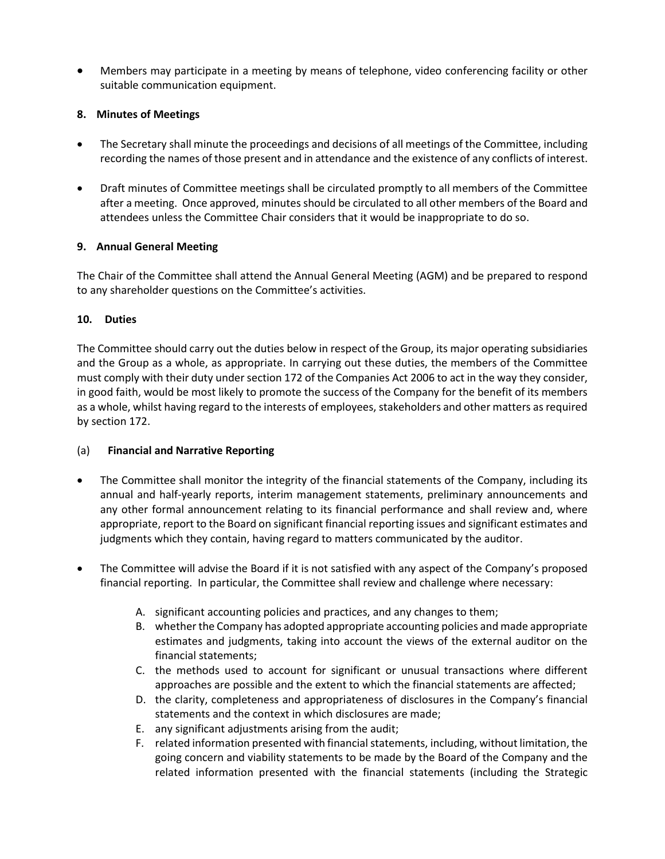Members may participate in a meeting by means of telephone, video conferencing facility or other suitable communication equipment.

## **8. Minutes of Meetings**

- The Secretary shall minute the proceedings and decisions of all meetings of the Committee, including recording the names of those present and in attendance and the existence of any conflicts of interest.
- Draft minutes of Committee meetings shall be circulated promptly to all members of the Committee after a meeting. Once approved, minutes should be circulated to all other members of the Board and attendees unless the Committee Chair considers that it would be inappropriate to do so.

## **9. Annual General Meeting**

The Chair of the Committee shall attend the Annual General Meeting (AGM) and be prepared to respond to any shareholder questions on the Committee's activities.

## **10. Duties**

The Committee should carry out the duties below in respect of the Group, its major operating subsidiaries and the Group as a whole, as appropriate. In carrying out these duties, the members of the Committee must comply with their duty under section 172 of the Companies Act 2006 to act in the way they consider, in good faith, would be most likely to promote the success of the Company for the benefit of its members as a whole, whilst having regard to the interests of employees, stakeholders and other matters as required by section 172.

## (a) **Financial and Narrative Reporting**

- The Committee shall monitor the integrity of the financial statements of the Company, including its annual and half-yearly reports, interim management statements, preliminary announcements and any other formal announcement relating to its financial performance and shall review and, where appropriate, report to the Board on significant financial reporting issues and significant estimates and judgments which they contain, having regard to matters communicated by the auditor.
- The Committee will advise the Board if it is not satisfied with any aspect of the Company's proposed financial reporting. In particular, the Committee shall review and challenge where necessary:
	- A. significant accounting policies and practices, and any changes to them;
	- B. whether the Company has adopted appropriate accounting policies and made appropriate estimates and judgments, taking into account the views of the external auditor on the financial statements;
	- C. the methods used to account for significant or unusual transactions where different approaches are possible and the extent to which the financial statements are affected;
	- D. the clarity, completeness and appropriateness of disclosures in the Company's financial statements and the context in which disclosures are made;
	- E. any significant adjustments arising from the audit;
	- F. related information presented with financial statements, including, without limitation, the going concern and viability statements to be made by the Board of the Company and the related information presented with the financial statements (including the Strategic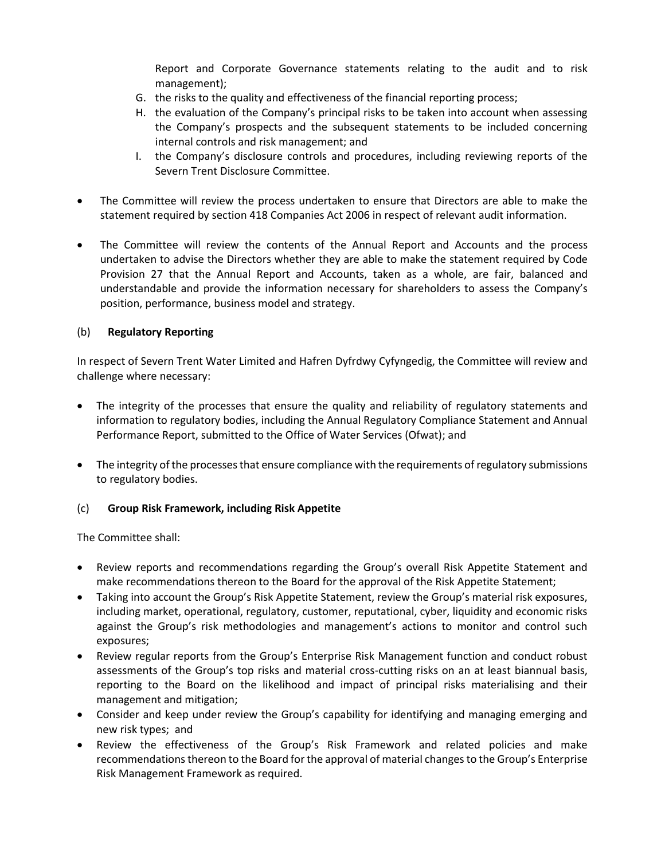Report and Corporate Governance statements relating to the audit and to risk management);

- G. the risks to the quality and effectiveness of the financial reporting process;
- H. the evaluation of the Company's principal risks to be taken into account when assessing the Company's prospects and the subsequent statements to be included concerning internal controls and risk management; and
- I. the Company's disclosure controls and procedures, including reviewing reports of the Severn Trent Disclosure Committee.
- The Committee will review the process undertaken to ensure that Directors are able to make the statement required by section 418 Companies Act 2006 in respect of relevant audit information.
- The Committee will review the contents of the Annual Report and Accounts and the process undertaken to advise the Directors whether they are able to make the statement required by Code Provision 27 that the Annual Report and Accounts, taken as a whole, are fair, balanced and understandable and provide the information necessary for shareholders to assess the Company's position, performance, business model and strategy.

## (b) **Regulatory Reporting**

In respect of Severn Trent Water Limited and Hafren Dyfrdwy Cyfyngedig, the Committee will review and challenge where necessary:

- The integrity of the processes that ensure the quality and reliability of regulatory statements and information to regulatory bodies, including the Annual Regulatory Compliance Statement and Annual Performance Report, submitted to the Office of Water Services (Ofwat); and
- The integrity of the processes that ensure compliance with the requirements of regulatory submissions to regulatory bodies.

## (c) **Group Risk Framework, including Risk Appetite**

The Committee shall:

- Review reports and recommendations regarding the Group's overall Risk Appetite Statement and make recommendations thereon to the Board for the approval of the Risk Appetite Statement;
- Taking into account the Group's Risk Appetite Statement, review the Group's material risk exposures, including market, operational, regulatory, customer, reputational, cyber, liquidity and economic risks against the Group's risk methodologies and management's actions to monitor and control such exposures;
- Review regular reports from the Group's Enterprise Risk Management function and conduct robust assessments of the Group's top risks and material cross-cutting risks on an at least biannual basis, reporting to the Board on the likelihood and impact of principal risks materialising and their management and mitigation;
- Consider and keep under review the Group's capability for identifying and managing emerging and new risk types; and
- Review the effectiveness of the Group's Risk Framework and related policies and make recommendations thereon to the Board for the approval of material changes to the Group's Enterprise Risk Management Framework as required.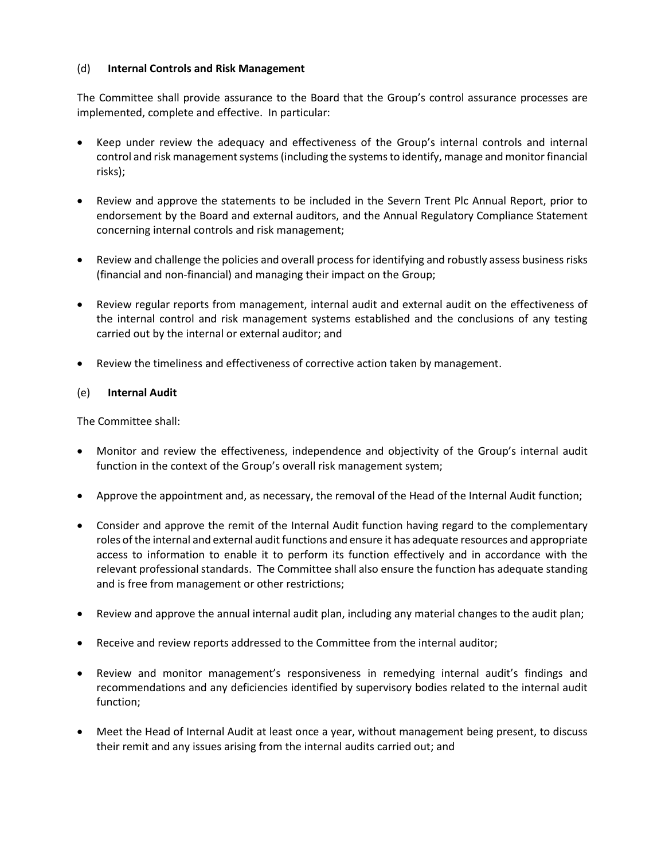#### (d) **Internal Controls and Risk Management**

The Committee shall provide assurance to the Board that the Group's control assurance processes are implemented, complete and effective. In particular:

- Keep under review the adequacy and effectiveness of the Group's internal controls and internal control and risk management systems(including the systems to identify, manage and monitor financial risks);
- Review and approve the statements to be included in the Severn Trent Plc Annual Report, prior to endorsement by the Board and external auditors, and the Annual Regulatory Compliance Statement concerning internal controls and risk management;
- Review and challenge the policies and overall process for identifying and robustly assess business risks (financial and non-financial) and managing their impact on the Group;
- Review regular reports from management, internal audit and external audit on the effectiveness of the internal control and risk management systems established and the conclusions of any testing carried out by the internal or external auditor; and
- Review the timeliness and effectiveness of corrective action taken by management.

## (e) **Internal Audit**

The Committee shall:

- Monitor and review the effectiveness, independence and objectivity of the Group's internal audit function in the context of the Group's overall risk management system;
- Approve the appointment and, as necessary, the removal of the Head of the Internal Audit function;
- Consider and approve the remit of the Internal Audit function having regard to the complementary roles of the internal and external audit functions and ensure it has adequate resources and appropriate access to information to enable it to perform its function effectively and in accordance with the relevant professional standards. The Committee shall also ensure the function has adequate standing and is free from management or other restrictions;
- Review and approve the annual internal audit plan, including any material changes to the audit plan;
- Receive and review reports addressed to the Committee from the internal auditor;
- Review and monitor management's responsiveness in remedying internal audit's findings and recommendations and any deficiencies identified by supervisory bodies related to the internal audit function;
- Meet the Head of Internal Audit at least once a year, without management being present, to discuss their remit and any issues arising from the internal audits carried out; and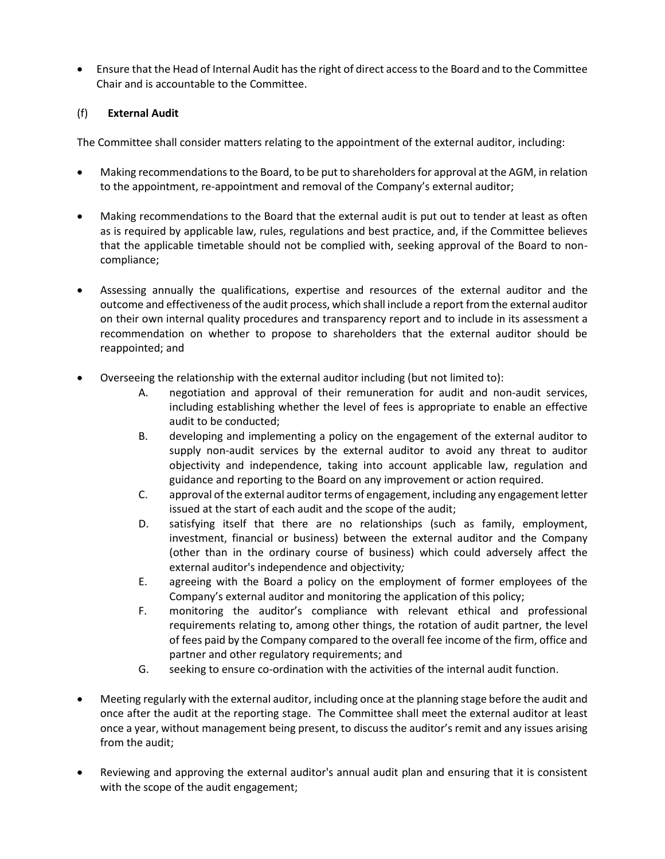Ensure that the Head of Internal Audit has the right of direct access to the Board and to the Committee Chair and is accountable to the Committee.

## (f) **External Audit**

The Committee shall consider matters relating to the appointment of the external auditor, including:

- Making recommendations to the Board, to be put to shareholders for approval at the AGM, in relation to the appointment, re-appointment and removal of the Company's external auditor;
- Making recommendations to the Board that the external audit is put out to tender at least as often as is required by applicable law, rules, regulations and best practice, and, if the Committee believes that the applicable timetable should not be complied with, seeking approval of the Board to noncompliance;
- Assessing annually the qualifications, expertise and resources of the external auditor and the outcome and effectiveness of the audit process, which shall include a report from the external auditor on their own internal quality procedures and transparency report and to include in its assessment a recommendation on whether to propose to shareholders that the external auditor should be reappointed; and
- Overseeing the relationship with the external auditor including (but not limited to):
	- A. negotiation and approval of their remuneration for audit and non-audit services, including establishing whether the level of fees is appropriate to enable an effective audit to be conducted;
	- B. developing and implementing a policy on the engagement of the external auditor to supply non-audit services by the external auditor to avoid any threat to auditor objectivity and independence, taking into account applicable law, regulation and guidance and reporting to the Board on any improvement or action required.
	- C. approval of the external auditor terms of engagement, including any engagement letter issued at the start of each audit and the scope of the audit;
	- D. satisfying itself that there are no relationships (such as family, employment, investment, financial or business) between the external auditor and the Company (other than in the ordinary course of business) which could adversely affect the external auditor's independence and objectivity*;*
	- E. agreeing with the Board a policy on the employment of former employees of the Company's external auditor and monitoring the application of this policy;
	- F. monitoring the auditor's compliance with relevant ethical and professional requirements relating to, among other things, the rotation of audit partner, the level of fees paid by the Company compared to the overall fee income of the firm, office and partner and other regulatory requirements; and
	- G. seeking to ensure co-ordination with the activities of the internal audit function.
- Meeting regularly with the external auditor, including once at the planning stage before the audit and once after the audit at the reporting stage. The Committee shall meet the external auditor at least once a year, without management being present, to discuss the auditor's remit and any issues arising from the audit;
- Reviewing and approving the external auditor's annual audit plan and ensuring that it is consistent with the scope of the audit engagement;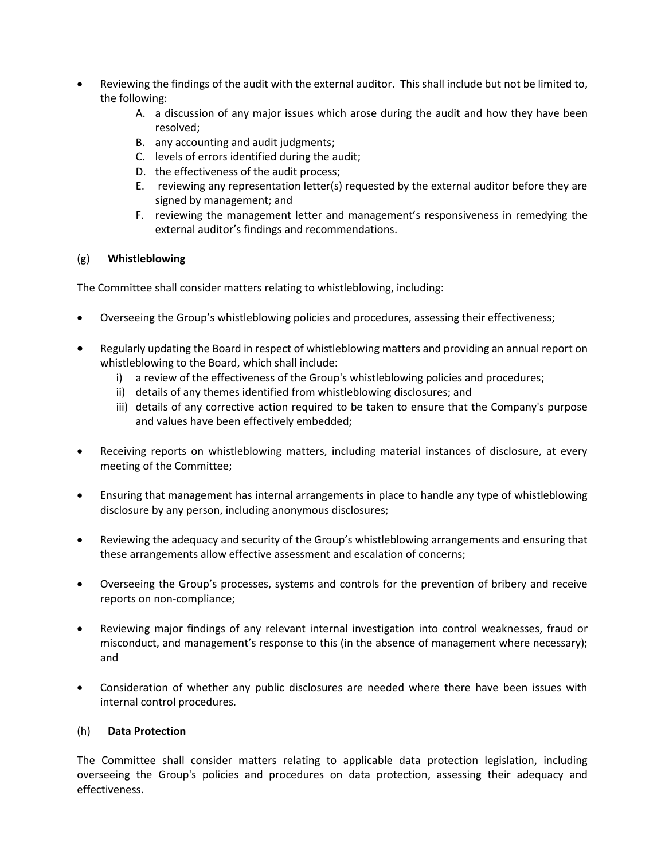- Reviewing the findings of the audit with the external auditor. This shall include but not be limited to, the following:
	- A. a discussion of any major issues which arose during the audit and how they have been resolved;
	- B. any accounting and audit judgments;
	- C. levels of errors identified during the audit;
	- D. the effectiveness of the audit process;
	- E. reviewing any representation letter(s) requested by the external auditor before they are signed by management; and
	- F. reviewing the management letter and management's responsiveness in remedying the external auditor's findings and recommendations.

## (g) **Whistleblowing**

The Committee shall consider matters relating to whistleblowing, including:

- Overseeing the Group's whistleblowing policies and procedures, assessing their effectiveness;
- Regularly updating the Board in respect of whistleblowing matters and providing an annual report on whistleblowing to the Board, which shall include:
	- i) a review of the effectiveness of the Group's whistleblowing policies and procedures;
	- ii) details of any themes identified from whistleblowing disclosures; and
	- iii) details of any corrective action required to be taken to ensure that the Company's purpose and values have been effectively embedded;
- Receiving reports on whistleblowing matters, including material instances of disclosure, at every meeting of the Committee;
- Ensuring that management has internal arrangements in place to handle any type of whistleblowing disclosure by any person, including anonymous disclosures;
- Reviewing the adequacy and security of the Group's whistleblowing arrangements and ensuring that these arrangements allow effective assessment and escalation of concerns;
- Overseeing the Group's processes, systems and controls for the prevention of bribery and receive reports on non-compliance;
- Reviewing major findings of any relevant internal investigation into control weaknesses, fraud or misconduct, and management's response to this (in the absence of management where necessary); and
- Consideration of whether any public disclosures are needed where there have been issues with internal control procedures.

#### (h) **Data Protection**

The Committee shall consider matters relating to applicable data protection legislation, including overseeing the Group's policies and procedures on data protection, assessing their adequacy and effectiveness.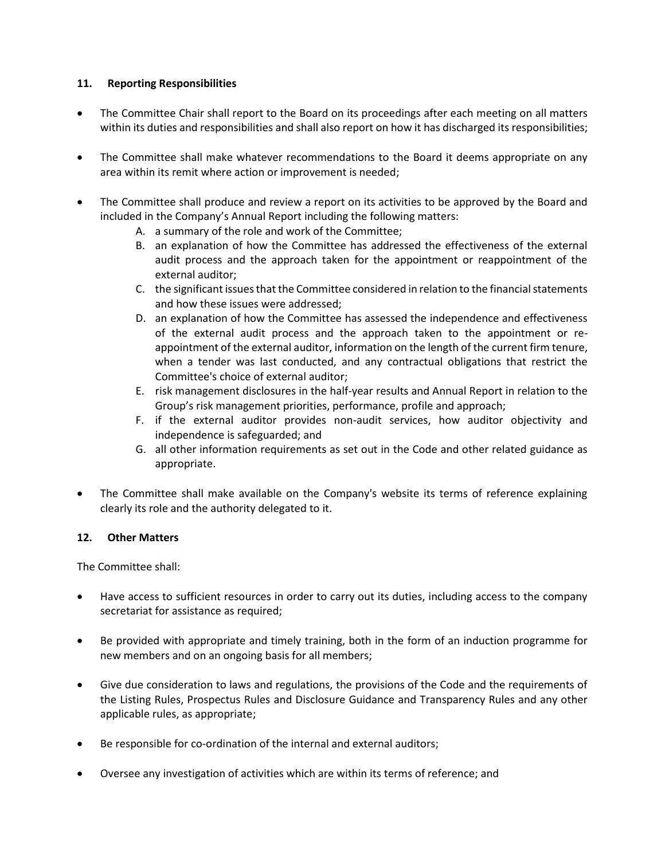#### **11. Reporting Responsibilities**

- The Committee Chair shall report to the Board on its proceedings after each meeting on all matters within its duties and responsibilities and shall also report on how it has discharged its responsibilities;
- The Committee shall make whatever recommendations to the Board it deems appropriate on any area within its remit where action or improvement is needed;
- The Committee shall produce and review a report on its activities to be approved by the Board and included in the Company's Annual Report including the following matters:
	- A. a summary of the role and work of the Committee;
	- B. an explanation of how the Committee has addressed the effectiveness of the external audit process and the approach taken for the appointment or reappointment of the external auditor;
	- C. the significant issues that the Committee considered in relation to the financial statements and how these issues were addressed;
	- D. an explanation of how the Committee has assessed the independence and effectiveness of the external audit process and the approach taken to the appointment or reappointment of the external auditor, information on the length of the current firm tenure, when a tender was last conducted, and any contractual obligations that restrict the Committee's choice of external auditor;
	- E. risk management disclosures in the half-year results and Annual Report in relation to the Group's risk management priorities, performance, profile and approach;
	- F. if the external auditor provides non-audit services, how auditor objectivity and independence is safeguarded; and
	- G. all other information requirements as set out in the Code and other related guidance as appropriate.
- The Committee shall make available on the Company's website its terms of reference explaining clearly its role and the authority delegated to it.

#### **12. Other Matters**

The Committee shall:

- Have access to sufficient resources in order to carry out its duties, including access to the company secretariat for assistance as required;
- Be provided with appropriate and timely training, both in the form of an induction programme for new members and on an ongoing basis for all members;
- Give due consideration to laws and regulations, the provisions of the Code and the requirements of the Listing Rules, Prospectus Rules and Disclosure Guidance and Transparency Rules and any other applicable rules, as appropriate;
- Be responsible for co-ordination of the internal and external auditors;
- Oversee any investigation of activities which are within its terms of reference; and